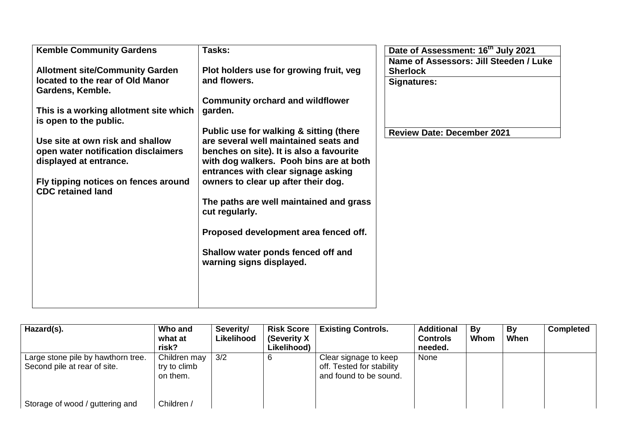| <b>Kemble Community Gardens</b>                                                                                                                                                                                                                                                                                                             | Tasks:                                                                                                                                                                                                                                                                                                                                                                                                                                                                                                                                         | Date of Assessment: 16 <sup>th</sup> July 2021                                                                |
|---------------------------------------------------------------------------------------------------------------------------------------------------------------------------------------------------------------------------------------------------------------------------------------------------------------------------------------------|------------------------------------------------------------------------------------------------------------------------------------------------------------------------------------------------------------------------------------------------------------------------------------------------------------------------------------------------------------------------------------------------------------------------------------------------------------------------------------------------------------------------------------------------|---------------------------------------------------------------------------------------------------------------|
| <b>Allotment site/Community Garden</b><br>located to the rear of Old Manor<br>Gardens, Kemble.<br>This is a working allotment site which<br>is open to the public.<br>Use site at own risk and shallow<br>open water notification disclaimers<br>displayed at entrance.<br>Fly tipping notices on fences around<br><b>CDC retained land</b> | Plot holders use for growing fruit, veg<br>and flowers.<br><b>Community orchard and wildflower</b><br>garden.<br>Public use for walking & sitting (there<br>are several well maintained seats and<br>benches on site). It is also a favourite<br>with dog walkers. Pooh bins are at both<br>entrances with clear signage asking<br>owners to clear up after their dog.<br>The paths are well maintained and grass<br>cut regularly.<br>Proposed development area fenced off.<br>Shallow water ponds fenced off and<br>warning signs displayed. | Name of Assessors: Jill Steeden / Luke<br><b>Sherlock</b><br>Signatures:<br><b>Review Date: December 2021</b> |
|                                                                                                                                                                                                                                                                                                                                             |                                                                                                                                                                                                                                                                                                                                                                                                                                                                                                                                                |                                                                                                               |

| Hazard(s).                                                         | Who and<br>what at<br>risk?              | Severity/<br>Likelihood | <b>Risk Score</b><br>(Severity X)<br>Likelihood) | <b>Existing Controls.</b>                                                    | <b>Additional</b><br><b>Controls</b><br>needed. | Bv<br>Whom | Bv<br>When | <b>Completed</b> |
|--------------------------------------------------------------------|------------------------------------------|-------------------------|--------------------------------------------------|------------------------------------------------------------------------------|-------------------------------------------------|------------|------------|------------------|
| Large stone pile by hawthorn tree.<br>Second pile at rear of site. | Children may<br>try to climb<br>on them. | 3/2                     | b                                                | Clear signage to keep<br>off. Tested for stability<br>and found to be sound. | None                                            |            |            |                  |
| Storage of wood / guttering and                                    | Children /                               |                         |                                                  |                                                                              |                                                 |            |            |                  |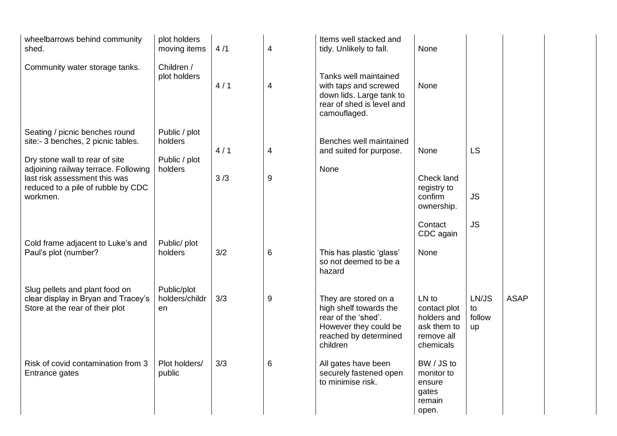| wheelbarrows behind community<br>shed.                                                                                                                    | plot holders<br>moving items        | 4/1 | $\overline{\mathbf{4}}$ | Items well stacked and<br>tidy. Unlikely to fall.                                                                                   | None                                                                           |                             |             |
|-----------------------------------------------------------------------------------------------------------------------------------------------------------|-------------------------------------|-----|-------------------------|-------------------------------------------------------------------------------------------------------------------------------------|--------------------------------------------------------------------------------|-----------------------------|-------------|
| Community water storage tanks.                                                                                                                            | Children /<br>plot holders          | 4/1 | 4                       | Tanks well maintained<br>with taps and screwed<br>down lids. Large tank to<br>rear of shed is level and<br>camouflaged.             | <b>None</b>                                                                    |                             |             |
| Seating / picnic benches round<br>site:- 3 benches, 2 picnic tables.                                                                                      | Public / plot<br>holders            | 4/1 | 4                       | Benches well maintained<br>and suited for purpose.                                                                                  | None                                                                           | LS                          |             |
| Dry stone wall to rear of site<br>adjoining railway terrace. Following<br>last risk assessment this was<br>reduced to a pile of rubble by CDC<br>workmen. | Public / plot<br>holders            | 3/3 | 9                       | None                                                                                                                                | Check land<br>registry to<br>confirm<br>ownership.                             | <b>JS</b>                   |             |
| Cold frame adjacent to Luke's and<br>Paul's plot (number?                                                                                                 | Public/ plot<br>holders             | 3/2 | 6                       | This has plastic 'glass'<br>so not deemed to be a<br>hazard                                                                         | Contact<br>CDC again<br>None                                                   | <b>JS</b>                   |             |
| Slug pellets and plant food on<br>clear display in Bryan and Tracey's<br>Store at the rear of their plot                                                  | Public/plot<br>holders/childr<br>en | 3/3 | 9                       | They are stored on a<br>high shelf towards the<br>rear of the 'shed'.<br>However they could be<br>reached by determined<br>children | LN to<br>contact plot<br>holders and<br>ask them to<br>remove all<br>chemicals | LN/JS<br>to<br>follow<br>up | <b>ASAP</b> |
| Risk of covid contamination from 3<br>Entrance gates                                                                                                      | Plot holders/<br>public             | 3/3 | 6                       | All gates have been<br>securely fastened open<br>to minimise risk.                                                                  | BW / JS to<br>monitor to<br>ensure<br>gates<br>remain<br>open.                 |                             |             |